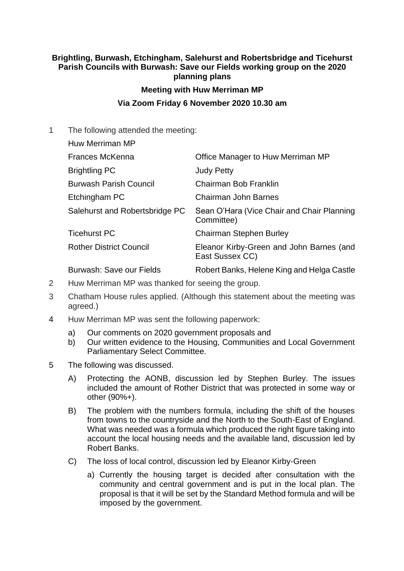## **Brightling, Burwash, Etchingham, Salehurst and Robertsbridge and Ticehurst Parish Councils with Burwash: Save our Fields working group on the 2020 planning plans**

## **Meeting with Huw Merriman MP**

## **Via Zoom Friday 6 November 2020 10.30 am**

1 The following attended the meeting:

Huw Merriman MP Frances McKenna Office Manager to Huw Merriman MP Brightling PC Judy Petty Burwash Parish Council Chairman Bob Franklin Etchingham PC Chairman John Barnes Salehurst and Robertsbridge PC Sean O'Hara (Vice Chair and Chair Planning Committee) Ticehurst PC **Chairman** Stephen Burley Rother District Council Eleanor Kirby-Green and John Barnes (and East Sussex CC) Burwash: Save our Fields Robert Banks, Helene King and Helga Castle

- 2 Huw Merriman MP was thanked for seeing the group.
- 3 Chatham House rules applied. (Although this statement about the meeting was agreed.)
- 4 Huw Merriman MP was sent the following paperwork:
	- a) Our comments on 2020 government proposals and
	- b) Our written evidence to the Housing, Communities and Local Government Parliamentary Select Committee.
- 5 The following was discussed.
	- A) Protecting the AONB, discussion led by Stephen Burley. The issues included the amount of Rother District that was protected in some way or other (90%+).
	- B) The problem with the numbers formula, including the shift of the houses from towns to the countryside and the North to the South-East of England. What was needed was a formula which produced the right figure taking into account the local housing needs and the available land, discussion led by Robert Banks.
	- C) The loss of local control, discussion led by Eleanor Kirby-Green
		- a) Currently the housing target is decided after consultation with the community and central government and is put in the local plan. The proposal is that it will be set by the Standard Method formula and will be imposed by the government.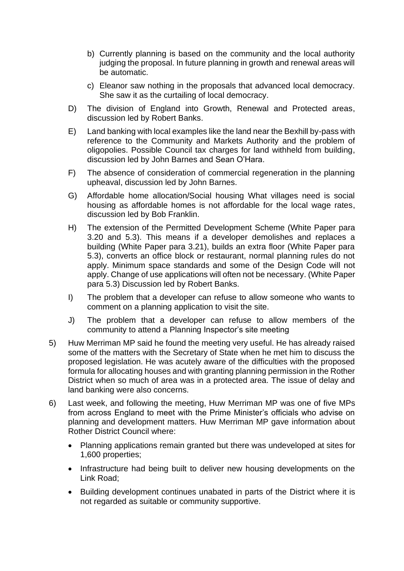- b) Currently planning is based on the community and the local authority judging the proposal. In future planning in growth and renewal areas will be automatic.
- c) Eleanor saw nothing in the proposals that advanced local democracy. She saw it as the curtailing of local democracy.
- D) The division of England into Growth, Renewal and Protected areas, discussion led by Robert Banks.
- E) Land banking with local examples like the land near the Bexhill by-pass with reference to the Community and Markets Authority and the problem of oligopolies. Possible Council tax charges for land withheld from building, discussion led by John Barnes and Sean O'Hara.
- F) The absence of consideration of commercial regeneration in the planning upheaval, discussion led by John Barnes.
- G) Affordable home allocation/Social housing What villages need is social housing as affordable homes is not affordable for the local wage rates, discussion led by Bob Franklin.
- H) The extension of the Permitted Development Scheme (White Paper para 3.20 and 5.3). This means if a developer demolishes and replaces a building (White Paper para 3.21), builds an extra floor (White Paper para 5.3), converts an office block or restaurant, normal planning rules do not apply. Minimum space standards and some of the Design Code will not apply. Change of use applications will often not be necessary. (White Paper para 5.3) Discussion led by Robert Banks.
- I) The problem that a developer can refuse to allow someone who wants to comment on a planning application to visit the site.
- J) The problem that a developer can refuse to allow members of the community to attend a Planning Inspector's site meeting
- 5) Huw Merriman MP said he found the meeting very useful. He has already raised some of the matters with the Secretary of State when he met him to discuss the proposed legislation. He was acutely aware of the difficulties with the proposed formula for allocating houses and with granting planning permission in the Rother District when so much of area was in a protected area. The issue of delay and land banking were also concerns.
- 6) Last week, and following the meeting, Huw Merriman MP was one of five MPs from across England to meet with the Prime Minister's officials who advise on planning and development matters. Huw Merriman MP gave information about Rother District Council where:
	- Planning applications remain granted but there was undeveloped at sites for 1,600 properties;
	- Infrastructure had being built to deliver new housing developments on the Link Road;
	- Building development continues unabated in parts of the District where it is not regarded as suitable or community supportive.